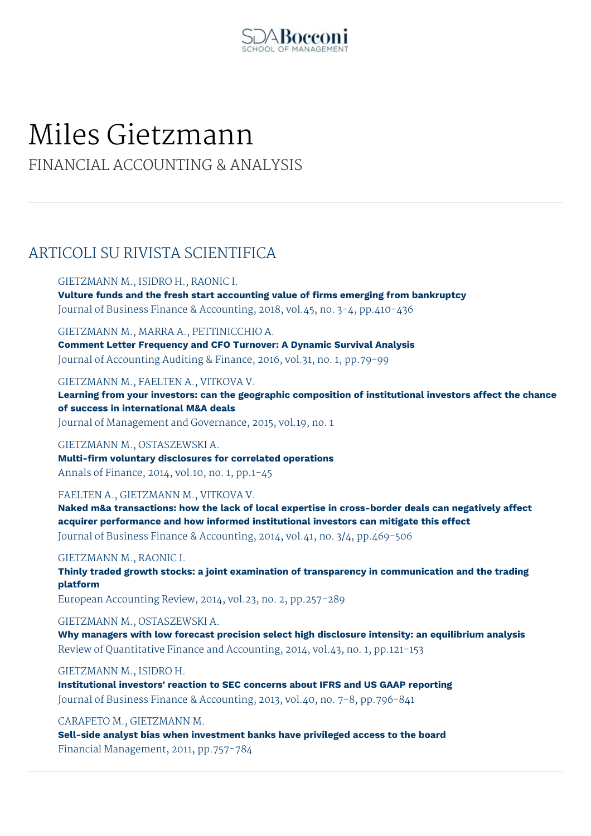

# Miles Gietzmann

FINANCIAL ACCOUNTING & ANALYSIS

## ARTICOLI SU RIVISTA SCIENTIFICA

#### GIETZMANN M., ISIDRO H., RAONIC I.

**Vulture funds and the fresh start accounting value of firms emerging from bankruptcy** Journal of Business Finance & Accounting, 2018, vol.45, no. 3-4, pp.410-436

GIETZMANN M., MARRA A., PETTINICCHIO A.

**Comment Letter Frequency and CFO Turnover: A Dynamic Survival Analysis** Journal of Accounting Auditing & Finance, 2016, vol.31, no. 1, pp.79-99

GIETZMANN M., FAELTEN A., VITKOVA V.

**Learning from your investors: can the geographic composition of institutional investors affect the chance of success in international M&A deals**

Journal of Management and Governance, 2015, vol.19, no. 1

#### GIETZMANN M., OSTASZEWSKI A.

**Multi-firm voluntary disclosures for correlated operations** Annals of Finance, 2014, vol.10, no. 1, pp.1-45

#### FAELTEN A., GIETZMANN M., VITKOVA V.

**Naked m&a transactions: how the lack of local expertise in cross-border deals can negatively affect acquirer performance and how informed institutional investors can mitigate this effect** Journal of Business Finance & Accounting, 2014, vol.41, no. 3/4, pp.469-506

#### GIETZMANN M., RAONIC I.

**Thinly traded growth stocks: a joint examination of transparency in communication and the trading platform**

European Accounting Review, 2014, vol.23, no. 2, pp.257-289

### GIETZMANN M., OSTASZEWSKI A.

**Why managers with low forecast precision select high disclosure intensity: an equilibrium analysis** Review of Quantitative Finance and Accounting, 2014, vol.43, no. 1, pp.121-153

#### GIETZMANN M., ISIDRO H.

**Institutional investors' reaction to SEC concerns about IFRS and US GAAP reporting** Journal of Business Finance & Accounting, 2013, vol.40, no. 7-8, pp.796-841

CARAPETO M., GIETZMANN M.

**Sell-side analyst bias when investment banks have privileged access to the board** Financial Management, 2011, pp.757-784